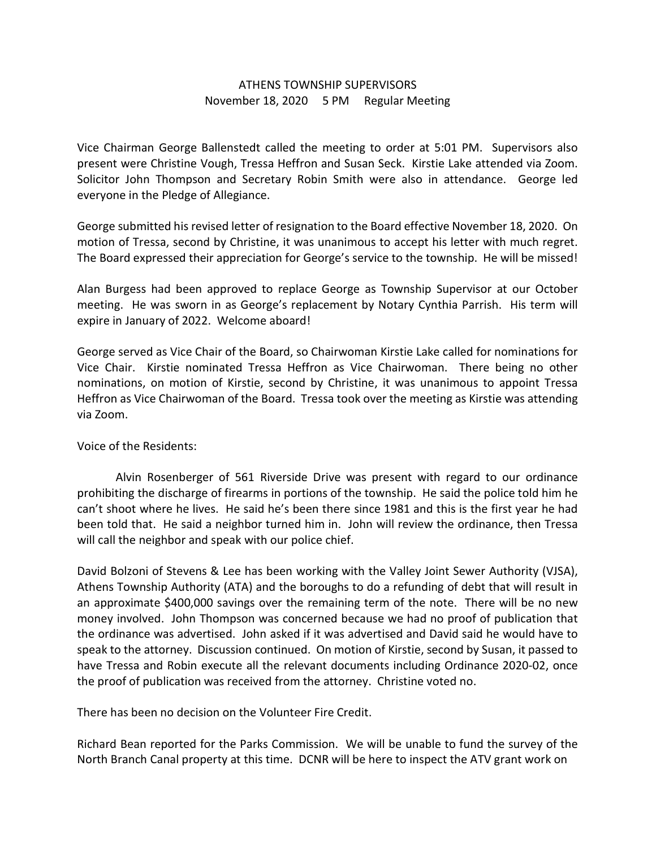## ATHENS TOWNSHIP SUPERVISORS November 18, 2020 5 PM Regular Meeting

Vice Chairman George Ballenstedt called the meeting to order at 5:01 PM. Supervisors also present were Christine Vough, Tressa Heffron and Susan Seck. Kirstie Lake attended via Zoom. Solicitor John Thompson and Secretary Robin Smith were also in attendance. George led everyone in the Pledge of Allegiance.

George submitted his revised letter of resignation to the Board effective November 18, 2020. On motion of Tressa, second by Christine, it was unanimous to accept his letter with much regret. The Board expressed their appreciation for George's service to the township. He will be missed!

Alan Burgess had been approved to replace George as Township Supervisor at our October meeting. He was sworn in as George's replacement by Notary Cynthia Parrish. His term will expire in January of 2022. Welcome aboard!

George served as Vice Chair of the Board, so Chairwoman Kirstie Lake called for nominations for Vice Chair. Kirstie nominated Tressa Heffron as Vice Chairwoman. There being no other nominations, on motion of Kirstie, second by Christine, it was unanimous to appoint Tressa Heffron as Vice Chairwoman of the Board. Tressa took over the meeting as Kirstie was attending via Zoom.

Voice of the Residents:

 Alvin Rosenberger of 561 Riverside Drive was present with regard to our ordinance prohibiting the discharge of firearms in portions of the township. He said the police told him he can't shoot where he lives. He said he's been there since 1981 and this is the first year he had been told that. He said a neighbor turned him in. John will review the ordinance, then Tressa will call the neighbor and speak with our police chief.

David Bolzoni of Stevens & Lee has been working with the Valley Joint Sewer Authority (VJSA), Athens Township Authority (ATA) and the boroughs to do a refunding of debt that will result in an approximate \$400,000 savings over the remaining term of the note. There will be no new money involved. John Thompson was concerned because we had no proof of publication that the ordinance was advertised. John asked if it was advertised and David said he would have to speak to the attorney. Discussion continued. On motion of Kirstie, second by Susan, it passed to have Tressa and Robin execute all the relevant documents including Ordinance 2020-02, once the proof of publication was received from the attorney. Christine voted no.

There has been no decision on the Volunteer Fire Credit.

Richard Bean reported for the Parks Commission. We will be unable to fund the survey of the North Branch Canal property at this time. DCNR will be here to inspect the ATV grant work on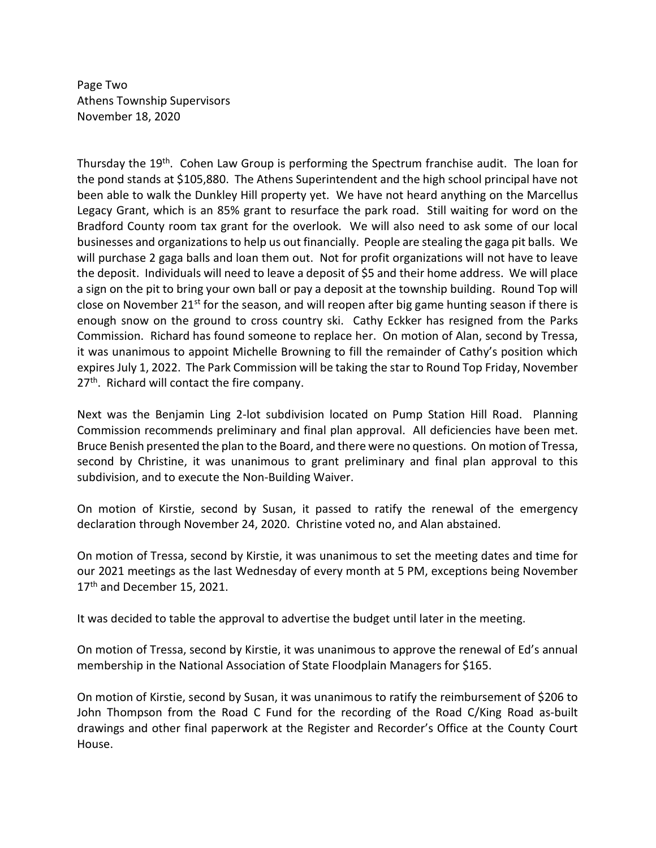Page Two Athens Township Supervisors November 18, 2020

Thursday the 19th. Cohen Law Group is performing the Spectrum franchise audit. The loan for the pond stands at \$105,880. The Athens Superintendent and the high school principal have not been able to walk the Dunkley Hill property yet. We have not heard anything on the Marcellus Legacy Grant, which is an 85% grant to resurface the park road. Still waiting for word on the Bradford County room tax grant for the overlook. We will also need to ask some of our local businesses and organizations to help us out financially. People are stealing the gaga pit balls. We will purchase 2 gaga balls and loan them out. Not for profit organizations will not have to leave the deposit. Individuals will need to leave a deposit of \$5 and their home address. We will place a sign on the pit to bring your own ball or pay a deposit at the township building. Round Top will close on November  $21^{st}$  for the season, and will reopen after big game hunting season if there is enough snow on the ground to cross country ski. Cathy Eckker has resigned from the Parks Commission. Richard has found someone to replace her. On motion of Alan, second by Tressa, it was unanimous to appoint Michelle Browning to fill the remainder of Cathy's position which expires July 1, 2022. The Park Commission will be taking the star to Round Top Friday, November 27<sup>th</sup>. Richard will contact the fire company.

Next was the Benjamin Ling 2-lot subdivision located on Pump Station Hill Road. Planning Commission recommends preliminary and final plan approval. All deficiencies have been met. Bruce Benish presented the plan to the Board, and there were no questions. On motion of Tressa, second by Christine, it was unanimous to grant preliminary and final plan approval to this subdivision, and to execute the Non-Building Waiver.

On motion of Kirstie, second by Susan, it passed to ratify the renewal of the emergency declaration through November 24, 2020. Christine voted no, and Alan abstained.

On motion of Tressa, second by Kirstie, it was unanimous to set the meeting dates and time for our 2021 meetings as the last Wednesday of every month at 5 PM, exceptions being November 17<sup>th</sup> and December 15, 2021.

It was decided to table the approval to advertise the budget until later in the meeting.

On motion of Tressa, second by Kirstie, it was unanimous to approve the renewal of Ed's annual membership in the National Association of State Floodplain Managers for \$165.

On motion of Kirstie, second by Susan, it was unanimous to ratify the reimbursement of \$206 to John Thompson from the Road C Fund for the recording of the Road C/King Road as-built drawings and other final paperwork at the Register and Recorder's Office at the County Court House.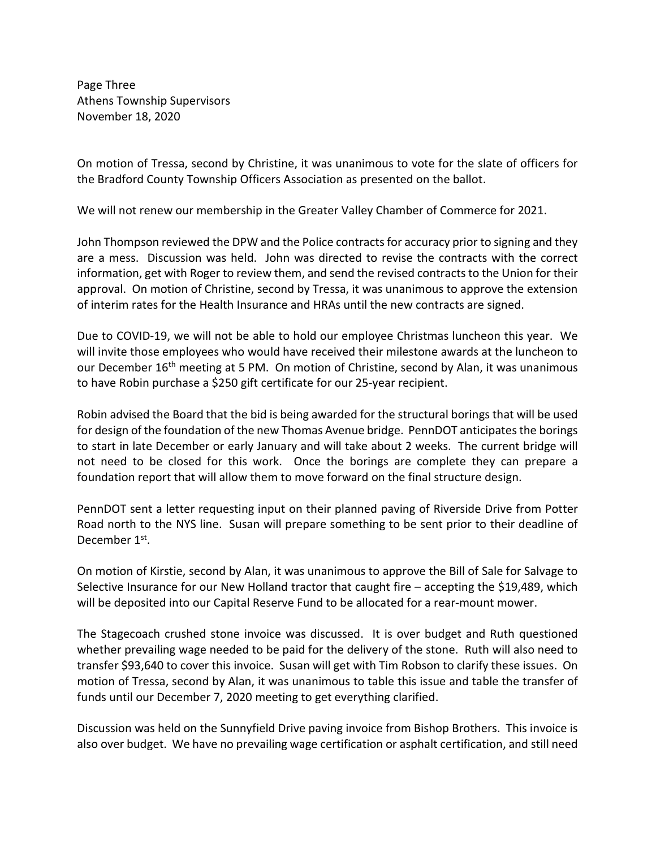Page Three Athens Township Supervisors November 18, 2020

On motion of Tressa, second by Christine, it was unanimous to vote for the slate of officers for the Bradford County Township Officers Association as presented on the ballot.

We will not renew our membership in the Greater Valley Chamber of Commerce for 2021.

John Thompson reviewed the DPW and the Police contracts for accuracy prior to signing and they are a mess. Discussion was held. John was directed to revise the contracts with the correct information, get with Roger to review them, and send the revised contracts to the Union for their approval. On motion of Christine, second by Tressa, it was unanimous to approve the extension of interim rates for the Health Insurance and HRAs until the new contracts are signed.

Due to COVID-19, we will not be able to hold our employee Christmas luncheon this year. We will invite those employees who would have received their milestone awards at the luncheon to our December 16<sup>th</sup> meeting at 5 PM. On motion of Christine, second by Alan, it was unanimous to have Robin purchase a \$250 gift certificate for our 25-year recipient.

Robin advised the Board that the bid is being awarded for the structural borings that will be used for design of the foundation of the new Thomas Avenue bridge. PennDOT anticipates the borings to start in late December or early January and will take about 2 weeks. The current bridge will not need to be closed for this work. Once the borings are complete they can prepare a foundation report that will allow them to move forward on the final structure design.

PennDOT sent a letter requesting input on their planned paving of Riverside Drive from Potter Road north to the NYS line. Susan will prepare something to be sent prior to their deadline of December 1<sup>st</sup>.

On motion of Kirstie, second by Alan, it was unanimous to approve the Bill of Sale for Salvage to Selective Insurance for our New Holland tractor that caught fire – accepting the \$19,489, which will be deposited into our Capital Reserve Fund to be allocated for a rear-mount mower.

The Stagecoach crushed stone invoice was discussed. It is over budget and Ruth questioned whether prevailing wage needed to be paid for the delivery of the stone. Ruth will also need to transfer \$93,640 to cover this invoice. Susan will get with Tim Robson to clarify these issues. On motion of Tressa, second by Alan, it was unanimous to table this issue and table the transfer of funds until our December 7, 2020 meeting to get everything clarified.

Discussion was held on the Sunnyfield Drive paving invoice from Bishop Brothers. This invoice is also over budget. We have no prevailing wage certification or asphalt certification, and still need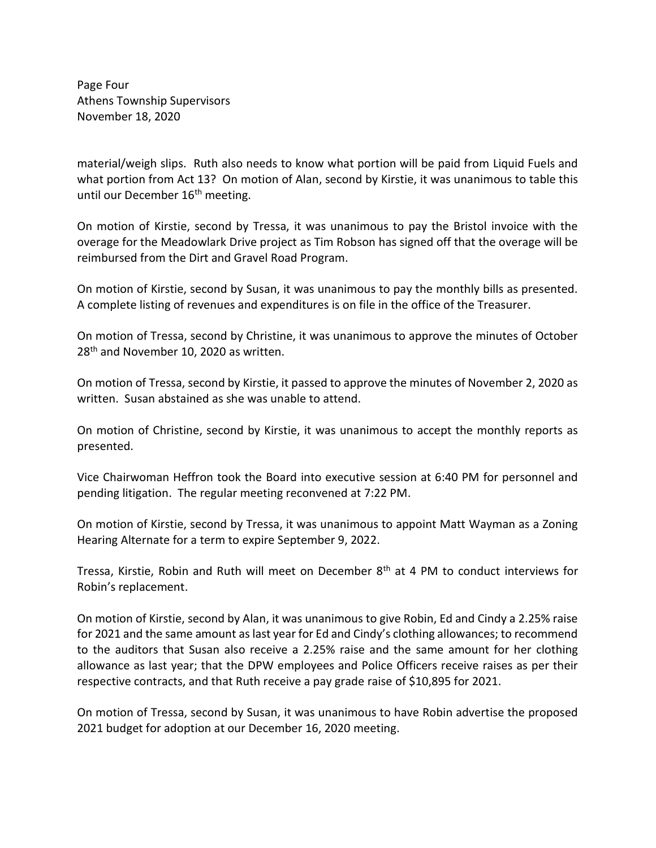Page Four Athens Township Supervisors November 18, 2020

material/weigh slips. Ruth also needs to know what portion will be paid from Liquid Fuels and what portion from Act 13? On motion of Alan, second by Kirstie, it was unanimous to table this until our December 16<sup>th</sup> meeting.

On motion of Kirstie, second by Tressa, it was unanimous to pay the Bristol invoice with the overage for the Meadowlark Drive project as Tim Robson has signed off that the overage will be reimbursed from the Dirt and Gravel Road Program.

On motion of Kirstie, second by Susan, it was unanimous to pay the monthly bills as presented. A complete listing of revenues and expenditures is on file in the office of the Treasurer.

On motion of Tressa, second by Christine, it was unanimous to approve the minutes of October 28<sup>th</sup> and November 10, 2020 as written.

On motion of Tressa, second by Kirstie, it passed to approve the minutes of November 2, 2020 as written. Susan abstained as she was unable to attend.

On motion of Christine, second by Kirstie, it was unanimous to accept the monthly reports as presented.

Vice Chairwoman Heffron took the Board into executive session at 6:40 PM for personnel and pending litigation. The regular meeting reconvened at 7:22 PM.

On motion of Kirstie, second by Tressa, it was unanimous to appoint Matt Wayman as a Zoning Hearing Alternate for a term to expire September 9, 2022.

Tressa, Kirstie, Robin and Ruth will meet on December  $8<sup>th</sup>$  at 4 PM to conduct interviews for Robin's replacement.

On motion of Kirstie, second by Alan, it was unanimous to give Robin, Ed and Cindy a 2.25% raise for 2021 and the same amount as last year for Ed and Cindy's clothing allowances; to recommend to the auditors that Susan also receive a 2.25% raise and the same amount for her clothing allowance as last year; that the DPW employees and Police Officers receive raises as per their respective contracts, and that Ruth receive a pay grade raise of \$10,895 for 2021.

On motion of Tressa, second by Susan, it was unanimous to have Robin advertise the proposed 2021 budget for adoption at our December 16, 2020 meeting.